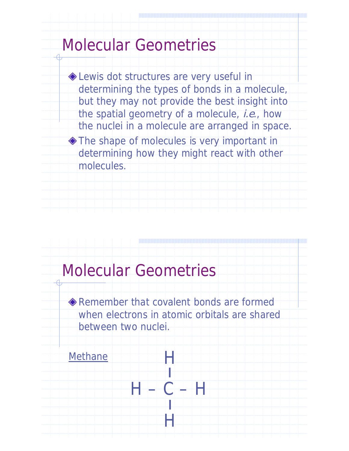### Molecular Geometries

 -Lewis dot structures are very useful in determining the types of bonds in a molecule, but they may not provide the best insight into the spatial geometry of a molecule, *i.e.*, how the nuclei in a molecule are arranged in space.

 -The shape of molecules is very important in determining how they might react with other molecules.

### Molecular Geometries

 -Remember that covalent bonds are formed when electrons in atomic orbitals are shared between two nuclei.

H

ı<br>İsti

H

¦<br>¦

 $C - H$ 

#### Methane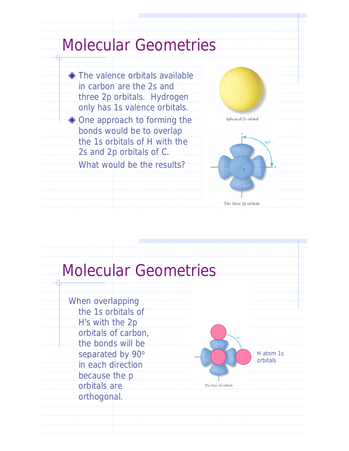

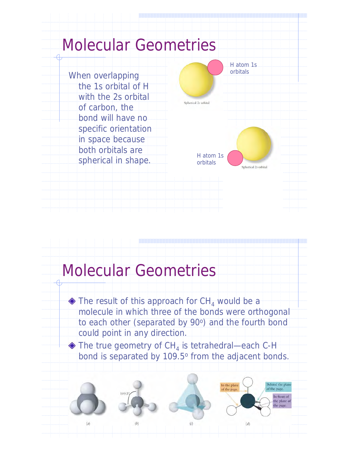

### Molecular Geometries

 $\blacklozenge$  The result of this approach for CH<sub>4</sub> would be a molecule in which three of the bonds were orthogonal to each other (separated by 90°) and the fourth bond could point in any direction.

 $\blacklozenge$  The true geometry of CH<sub>4</sub> is tetrahedral—each C-H bond is separated by 109.5° from the adjacent bonds.

Behind the plane

In front of the plane of the page.

of the page.

In the plane

of the pag

 $(d)$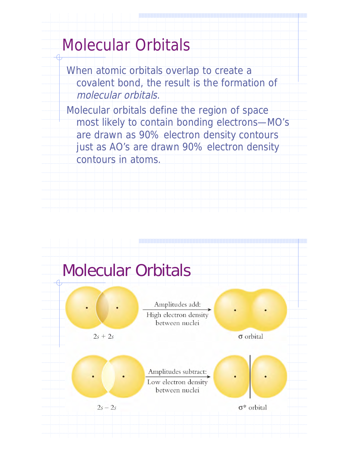### Molecular Orbitals

When atomic orbitals overlap to create a covalent bond, the result is the formation of molecular orbitals.

Molecular orbitals define the region of space most likely to contain bonding electrons—MO's are drawn as 90% electron density contours just as AO's are drawn 90% electron density contours in atoms.

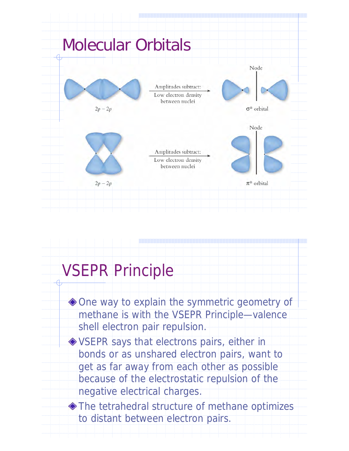

### VSEPR Principle

 -One way to explain the symmetric geometry of methane is with the VSEPR Principle—valence shell electron pair repulsion. -VSEPR says that electrons pairs, either in bonds or as unshared electron pairs, want to get as far away from each other as possible because of the electrostatic repulsion of the negative electrical charges. -The tetrahedral structure of methane optimizes to distant between electron pairs.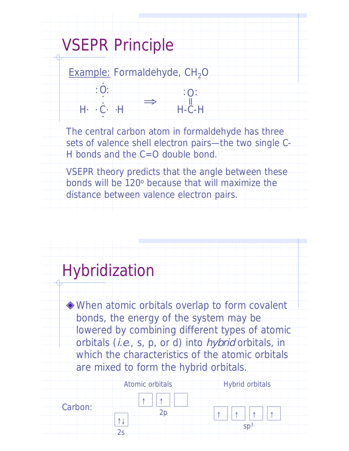### VSEPR Principle

O

 $: 0:$ 

Example: Formaldehyde,  $CH<sub>2</sub>O$ ·

 $H - C - H$ <u>، می</u> ·  $\cdot$  .  $\Rightarrow$ H-C-H  $: 0:$ 

The central carbon atom in formaldehyde has three sets of valence shell electron pairs—the two single C-H bonds and the  $C=O$  double bond.

VSEPR theory predicts that the angle between these bonds will be 120<sup>o</sup> because that will maximize the distance between valence electron pairs.

### Hybridization

 -When atomic orbitals overlap to form covalent bonds, the energy of the system may be lowered by combining different types of atomic orbitals (i.e., s, p, or d) into hybrid orbitals, in which the characteristics of the atomic orbitals are mixed to form the hybrid orbitals.

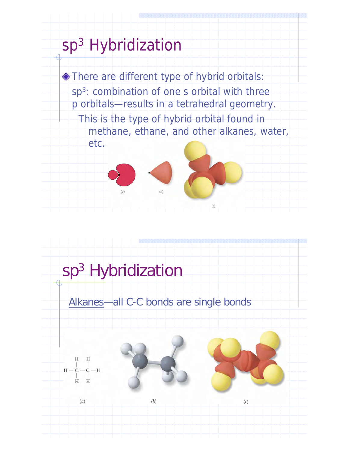# sp<sup>3</sup> Hybridization -There are different type of hybrid orbitals: sp3: combination of one s orbital with three p orbitals—results in a tetrahedral geometry. This is the type of hybrid orbital found in methane, ethane, and other alkanes, water, etc.  $\begin{array}{ccccccccccccccccc} \hline \multicolumn{3}{c|}{\textbf{1} & \textbf{1} & \textbf{1} & \textbf{1} & \textbf{1} & \textbf{1} & \textbf{1} & \textbf{1} & \textbf{1} & \textbf{1} & \textbf{1} & \textbf{1} & \textbf{1} & \textbf{1} & \textbf{1} & \textbf{1} & \textbf{1} & \textbf{1} & \textbf{1} & \textbf{1} & \textbf{1} & \textbf{1} & \textbf{1} & \textbf{1} & \textbf{1} & \textbf{1} & \textbf{1} & \textbf{1} &$

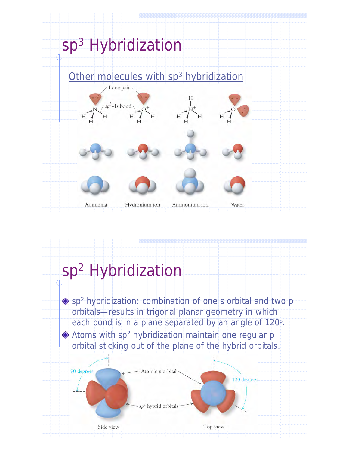

### sp<sup>2</sup> Hybridization

 $\bullet$  sp<sup>2</sup> hybridization: combination of one s orbital and two p orbitals—results in trigonal planar geometry in which each bond is in a plane separated by an angle of 120<sup>o</sup>.  $\blacklozenge$  Atoms with sp<sup>2</sup> hybridization maintain one regular p orbital sticking out of the plane of the hybrid orbitals.

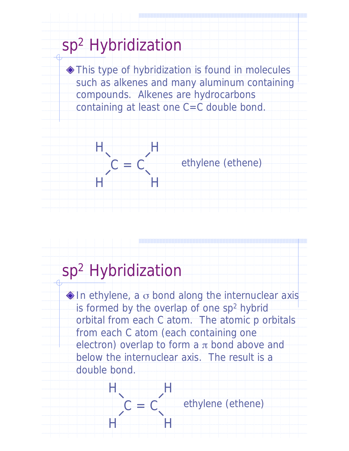

### sp<sup>2</sup> Hybridization

 $C = C$ 

H H

H H

 $\blacklozenge$  In ethylene, a  $\sigma$  bond along the internuclear axis is formed by the overlap of one sp<sup>2</sup> hybrid orbital from each C atom. The atomic p orbitals from each C atom (each containing one electron) overlap to form a  $\pi$  bond above and below the internuclear axis. The result is a double bond.

ethylene (ethene)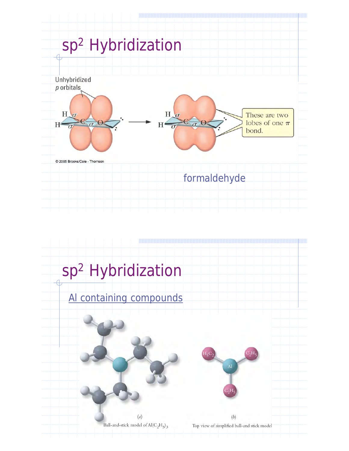

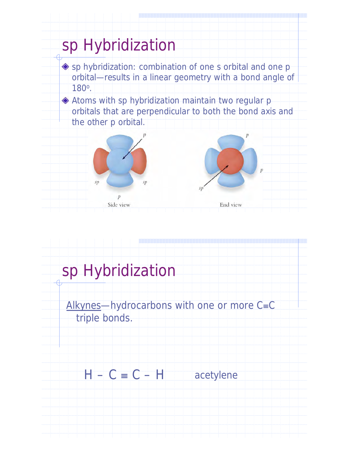

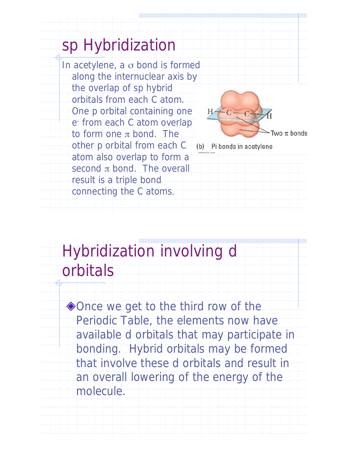### sp Hybridization

In acetylene, a  $\sigma$  bond is formed along the internuclear axis by the overlap of sp hybrid orbitals from each C atom. One p orbital containing one e- from each C atom overlap to form one  $\pi$  bond. The other p orbital from each C atom also overlap to form a second  $\pi$  bond. The overall result is a triple bond connecting the C atoms.



Hybridization involving d orbitals

◆ Once we get to the third row of the Periodic Table, the elements now have available d orbitals that may participate in bonding. Hybrid orbitals may be formed that involve these d orbitals and result in an overall lowering of the energy of the molecule.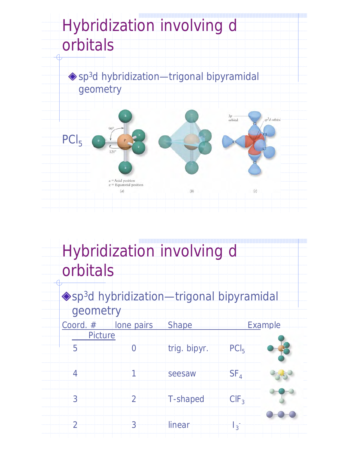

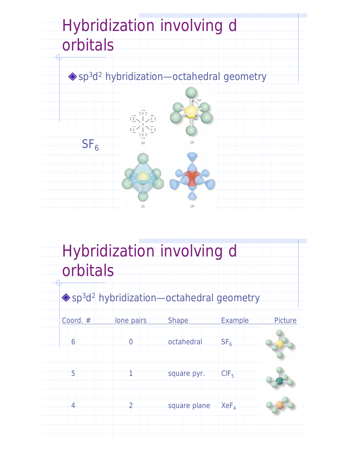

## Hybridization involving d orbitals

◆ sp<sup>3</sup>d<sup>2</sup> hybridization—octahedral geometry

| Coord. #       | lone pairs     | <b>Shape</b> | <b>Example</b>   | Picture |
|----------------|----------------|--------------|------------------|---------|
| 6              | $\overline{0}$ | octahedral   | SF <sub>6</sub>  |         |
| $\overline{5}$ |                | square pyr.  | CIF <sub>5</sub> |         |
| $\overline{4}$ | $\overline{2}$ | square plane | $XeF_{4}$        |         |
|                |                |              |                  |         |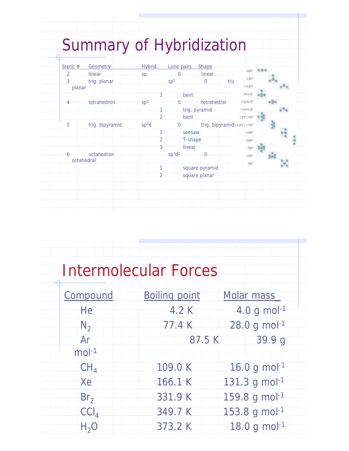| Summary of Hybridization |  |  |  |
|--------------------------|--|--|--|
|                          |  |  |  |

| Steric #             | Geometry        | Hybrid.           |                | Lone pairs Shape               |         |                |                            | $180^{\circ}$ 000 |  |  |
|----------------------|-----------------|-------------------|----------------|--------------------------------|---------|----------------|----------------------------|-------------------|--|--|
| $\overline{2}$       | linear.         | sp                |                | $\Omega$                       |         | linear         |                            |                   |  |  |
| $\overline{3}$       | trig. planar    |                   |                | Sp <sup>2</sup>                |         | $\mathbf 0$    | $120^{\circ}$<br>tric      |                   |  |  |
| planar               |                 |                   |                |                                |         |                | < 120°                     |                   |  |  |
|                      |                 |                   |                |                                | bent    |                | 109.5°                     |                   |  |  |
|                      | tetrahedron     | Sp <sup>3</sup>   |                | 0                              |         | tetrahedral    | $< 109.5^{\circ}$          |                   |  |  |
|                      |                 |                   |                |                                |         | trig. pyramid  | $< 109.5^{\circ}$          |                   |  |  |
|                      |                 |                   | $\overline{2}$ |                                | bent    |                | $120^{\circ}, 90^{\circ}$  |                   |  |  |
| $\overrightarrow{5}$ | trig. bipyramid | sp <sup>3</sup> d |                | $\overline{0}$                 |         |                | trig. bipyramid<120°, <90° |                   |  |  |
|                      |                 |                   | 1              |                                | seesaw  |                | $< 90^{\circ}$             |                   |  |  |
|                      |                 |                   | $\overline{2}$ |                                | T-shape |                | $180^\circ$                |                   |  |  |
|                      |                 |                   | $\overline{3}$ |                                | linear  |                | $90^\circ$                 |                   |  |  |
| 6                    | octahedron      |                   |                | sp <sup>3</sup> d <sup>2</sup> |         | $\Theta$       | < 90°                      |                   |  |  |
|                      | octahedral      |                   |                |                                |         |                | $90^\circ$                 |                   |  |  |
|                      |                 |                   | $\mathbf{1}$   |                                |         | square pyramid |                            |                   |  |  |
|                      |                 |                   | $\overline{2}$ |                                |         | square planar  |                            |                   |  |  |
|                      |                 |                   |                |                                |         |                |                            |                   |  |  |
|                      |                 |                   |                |                                |         |                |                            |                   |  |  |
|                      |                 |                   |                |                                |         |                |                            |                   |  |  |
|                      |                 |                   |                |                                |         |                |                            |                   |  |  |
|                      |                 |                   |                |                                |         |                |                            |                   |  |  |

po

|                  | <b>Intermolecular Forces</b> |                   |
|------------------|------------------------------|-------------------|
| Compound         | <b>Boiling point</b>         | <b>Molar mass</b> |
| He               | 4.2K                         | 4.0 g mol $^{-1}$ |
| $N_2$            | 77.4 K                       | 28.0 g mol-1      |
| Ar<br>$mol-1$    | 87.5 K                       | 39.9 g            |
| CH <sub>4</sub>  | 109.0 K                      | 16.0 g mol-1      |
| Xe               | 166.1 K                      | 131.3 g mol-1     |
| Br <sub>2</sub>  | 331.9 K                      | 159.8 g mol-1     |
| $ CC _4$         | 349.7 K                      | 153.8 g mol-1     |
| H <sub>2</sub> O | 373.2 K                      | 18.0 g mol-1      |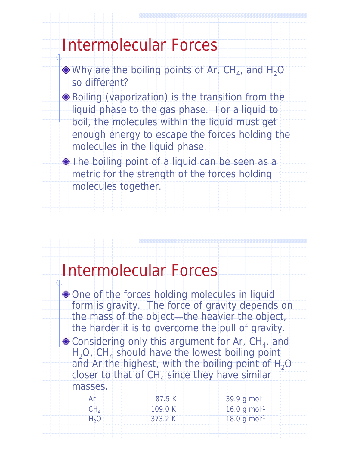### Intermolecular Forces

 $\bullet$  Why are the boiling points of Ar, CH<sub>4</sub>, and H<sub>2</sub>O so different?

 -Boiling (vaporization) is the transition from the liquid phase to the gas phase. For a liquid to boil, the molecules within the liquid must get enough energy to escape the forces holding the molecules in the liquid phase.

 -The boiling point of a liquid can be seen as a metric for the strength of the forces holding molecules together.

#### Intermolecular Forces

 $\blacklozenge$  One of the forces holding molecules in liquid form is gravity. The force of gravity depends on the mass of the object—the heavier the object, the harder it is to overcome the pull of gravity.  $\bullet$  Considering only this argument for Ar, CH<sub>4</sub>, and  $H_2O$ , CH<sub>4</sub> should have the lowest boiling point and Ar the highest, with the boiling point of  $H_2O$ closer to that of  $CH<sub>4</sub>$  since they have similar masses.

|                  | 87.5K   | $-39.9$ g mol $^{-1}$    |  |
|------------------|---------|--------------------------|--|
|                  | 109.0 K | 16.0 g mol <sup>-1</sup> |  |
| H <sub>3</sub> O | 373.2 K | 18.0 g mol <sup>-1</sup> |  |
|                  |         |                          |  |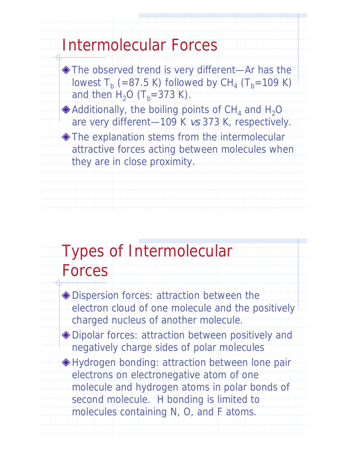### Intermolecular Forces

 -The observed trend is very different—Ar has the lowest  $T_b$  (=87.5 K) followed by CH<sub>4</sub> (T<sub>b</sub>=109 K) and then  $H_2O$  (T<sub>b</sub>=373 K).

 $\bullet$  Additionally, the boiling points of CH<sub>4</sub> and H<sub>2</sub>O are very different—109 K vs 373 K, respectively.

 $\blacklozenge$  The explanation stems from the intermolecular attractive forces acting between molecules when they are in close proximity.

## Types of Intermolecular

### Forces

 -Dispersion forces: attraction between the electron cloud of one molecule and the positively charged nucleus of another molecule.

 -Dipolar forces: attraction between positively and negatively charge sides of polar molecules

 -Hydrogen bonding: attraction between lone pair electrons on electronegative atom of one molecule and hydrogen atoms in polar bonds of second molecule. H bonding is limited to molecules containing N, O, and F atoms.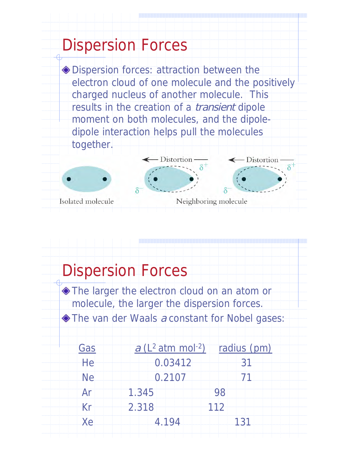#### Dispersion Forces -Dispersion forces: attraction between the electron cloud of one molecule and the positively charged nucleus of another molecule. This results in the creation of a transient dipole moment on both molecules, and the dipoledipole interaction helps pull the molecules together. - Distortion - Distortion Isolated molecule Neighboring molecule

### Dispersion Forces

 -The larger the electron cloud on an atom or molecule, the larger the dispersion forces. The van der Waals a constant for Nobel gases:

| Gas       | $a$ (L <sup>2</sup> atm mol <sup>-2</sup> ) | radius (pm) |
|-----------|---------------------------------------------|-------------|
| He        | 0.03412                                     | 31          |
| <b>Ne</b> | 0.2107                                      | 71          |
| Ar        | 1.345                                       | 98          |
| Kr        | 2.318                                       | 112         |
| Xe        | 4.194                                       | 131         |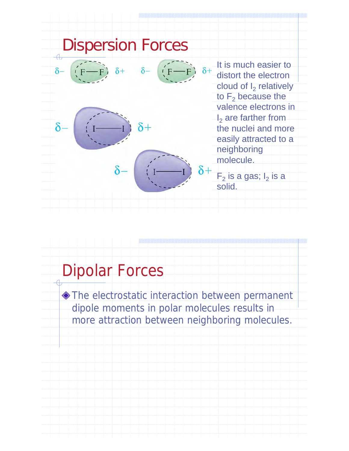

### Dipolar Forces

 -The electrostatic interaction between permanent dipole moments in polar molecules results in more attraction between neighboring molecules.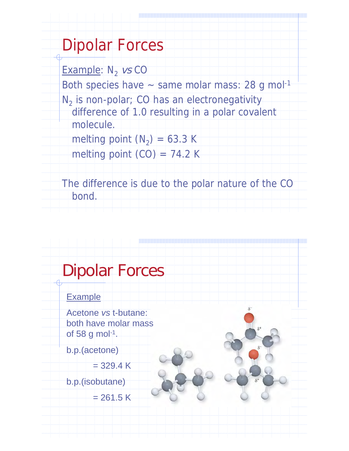### Dipolar Forces

Example:  $N_2$  vs CO Both species have  $\sim$  same molar mass: 28 g mol<sup>-1</sup>  $N<sub>2</sub>$  is non-polar; CO has an electronegativity difference of 1.0 resulting in a polar covalent molecule. melting point  $(N_2) = 63.3$  K

melting point  $(CO) = 74.2$  K

The difference is due to the polar nature of the CO bond.